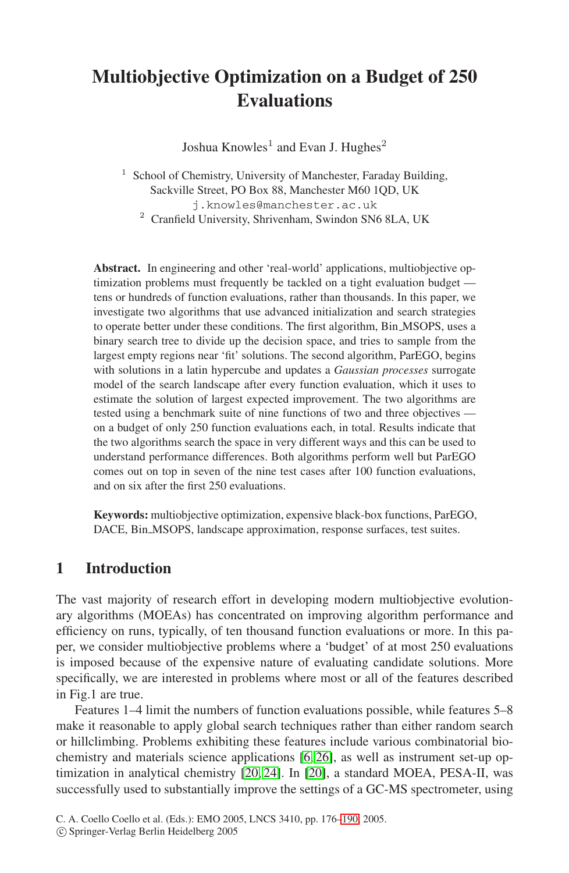# **Multiobjective Optimization on a Budget of 250 Evaluations**

Joshua Knowles<sup>1</sup> and Evan J. Hughes<sup>2</sup>

School of Chemistry, University of Manchester, Faraday Building, Sackville Street, PO Box 88, Manchester M60 1QD, UK j.knowles@manchester.ac.uk

<sup>2</sup> Cranfield University, Shrivenham, Swindon SN6 8LA, UK

**Abstract.** In engineering and other 'real-world' applications, multiobjective optimization problems must frequently be tackled on a tight evaluation budget tens or hundreds of function evaluations, rather than thousands. In this paper, we investigate two algorithms that use advanced initialization and search strategies to operate better under these conditions. The first algorithm, Bin MSOPS, uses a binary search tree to divide up the decision space, and tries to sample from the largest empty regions near 'fit' solutions. The second algorithm, ParEGO, begins with solutions in a latin hypercube and updates a *Gaussian processes* surrogate model of the search landscape after every function evaluation, which it uses to estimate the solution of largest expected improvement. The two algorithms are tested using a benchmark suite of nine functions of two and three objectives on a budget of only 250 function evaluations each, in total. Results indicate that the two algorithms search the space in very different ways and this can be used to understand performance differences. Both algorithms perform well but ParEGO comes out on top in seven of the nine test cases after 100 function evaluations, and on six after the first 250 evaluations.

**Keywords:** multiobjective optimization, expensive black-box functions, ParEGO, DACE, Bin MSOPS, landscape approximation, response surfaces, test suites.

## **1 Introduction**

The vast majority of research effort in developing modern multiobjective evolutionary algorithms (MOEAs) has concentrated on improving algorithm performance and efficiency on runs, typically, of ten thousand function evaluations or more. In this paper, we consider multiobjective problems where a 'budget' of at most 250 evaluations is imposed because of the expensive nature of evaluating candidate solutions. More specifically, we are interested in problems where most or all of the features described in Fig.1 are true.

Features 1–4 limit the numbers of function evaluations possible, while features 5–8 make it reasonable to apply global search techniques rather than either random search or hillclimbing. Problems exhibiting these features include various combinatorial biochemistry and materials science applications [\[6,](#page-13-0) [26\]](#page-14-0), as well as instrument set-up optimization in analytical chemistry [\[20,](#page-14-1) [24\]](#page-14-2). In [\[20\]](#page-14-1), a standard MOEA, PESA-II, was successfully used to substantially improve the settings of a GC-MS spectrometer, using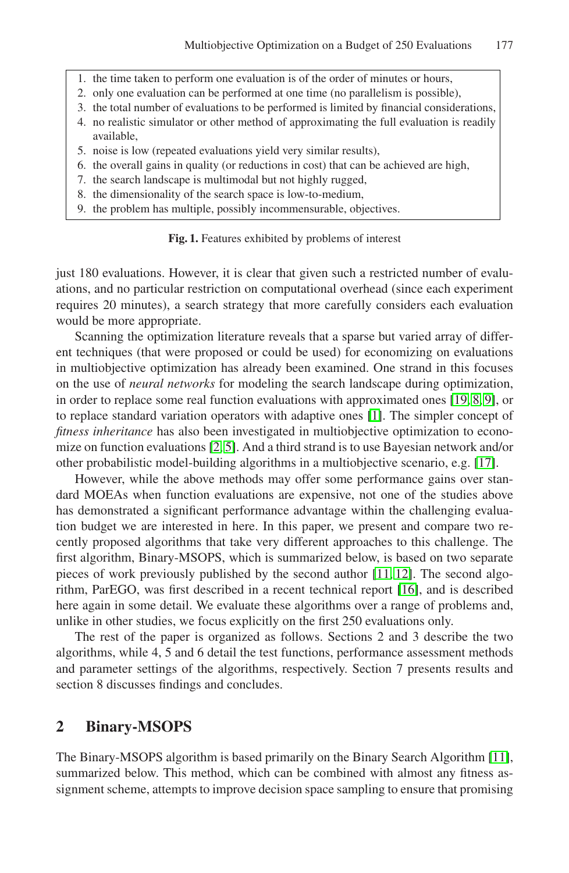- 1. the time taken to perform one evaluation is of the order of minutes or hours,
- 2. only one evaluation can be performed at one time (no parallelism is possible),
- 3. the total number of evaluations to be performed is limited by financial considerations,
- 4. no realistic simulator or other method of approximating the full evaluation is readily available,
- 5. noise is low (repeated evaluations yield very similar results),
- 6. the overall gains in quality (or reductions in cost) that can be achieved are high,
- 7. the search landscape is multimodal but not highly rugged,
- 8. the dimensionality of the search space is low-to-medium,
- 9. the problem has multiple, possibly incommensurable, objectives.

#### **Fig. 1.** Features exhibited by problems of interest

just 180 evaluations. However, it is clear that given such a restricted number of evaluations, and no particular restriction on computational overhead (since each experiment requires 20 minutes), a search strategy that more carefully considers each evaluation would be more appropriate.

Scanning the optimization literature reveals that a sparse but varied array of different techniques (that were proposed or could be used) for economizing on evaluations in multiobjective optimization has already been examined. One strand in this focuses on the use of *neural networks* for modeling the search landscape during optimization, in order to replace some real function evaluations with approximated ones [\[19,](#page-14-4) [8,](#page-13-1) [9\]](#page-14-5), or to replace standard variation operators with adaptive ones [\[1\]](#page-13-2). The simpler concept of *fitness inheritance* has also been investigated in multiobjective optimization to economize on function evaluations [\[2,](#page-13-3) [5\]](#page-13-4). And a third strand is to use Bayesian network and/or other probabilistic model-building algorithms in a multiobjective scenario, e.g. [\[17\]](#page-14-6).

However, while the above methods may offer some performance gains over standard MOEAs when function evaluations are expensive, not one of the studies above has demonstrated a significant performance advantage within the challenging evaluation budget we are interested in here. In this paper, we present and compare two recently proposed algorithms that take very different approaches to this challenge. The first algorithm, Binary-MSOPS, which is summarized below, is based on two separate pieces of work previously published by the second author [\[11,](#page-14-7) [12\]](#page-14-8). The second algorithm, ParEGO, was first described in a recent technical report [\[16\]](#page-14-9), and is described here again in some detail. We evaluate these algorithms over a range of problems and, unlike in other studies, we focus explicitly on the first 250 evaluations only.

The rest of the paper is organized as follows. Sections 2 and 3 describe the two algorithms, while 4, 5 and 6 detail the test functions, performance assessment methods and parameter settings of the algorithms, respectively. Section 7 presents results and section 8 discusses findings and concludes.

#### **2 Binary-MSOPS**

The Binary-MSOPS algorithm is based primarily on the Binary Search Algorithm [\[11\]](#page-14-7), summarized below. This method, which can be combined with almost any fitness assignment scheme, attempts to improve decision space sampling to ensure that promising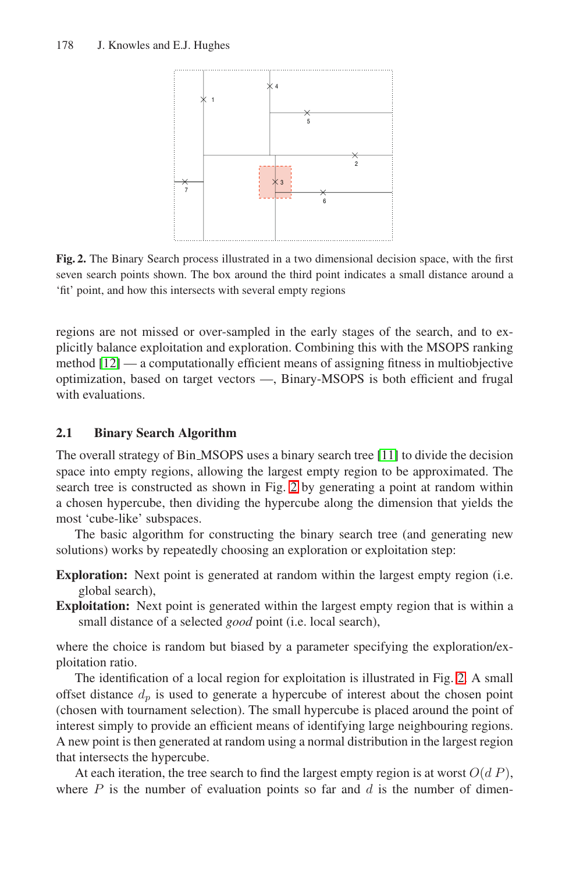<span id="page-2-0"></span>

**Fig. 2.** The Binary Search process illustrated in a two dimensional decision space, with the first seven search points shown. The box around the third point indicates a small distance around a 'fit' point, and how this intersects with several empty regions

regions are not missed or over-sampled in the early stages of the search, and to explicitly balance exploitation and exploration. Combining this with the MSOPS ranking method [\[12\]](#page-14-8) — a computationally efficient means of assigning fitness in multiobjective optimization, based on target vectors —, Binary-MSOPS is both efficient and frugal with evaluations.

### **2.1 Binary Search Algorithm**

The overall strategy of Bin MSOPS uses a binary search tree [\[11\]](#page-14-7) to divide the decision space into empty regions, allowing the largest empty region to be approximated. The search tree is constructed as shown in Fig. [2](#page-2-0) by generating a point at random within a chosen hypercube, then dividing the hypercube along the dimension that yields the most 'cube-like' subspaces.

The basic algorithm for constructing the binary search tree (and generating new solutions) works by repeatedly choosing an exploration or exploitation step:

- **Exploration:** Next point is generated at random within the largest empty region (i.e. global search),
- **Exploitation:** Next point is generated within the largest empty region that is within a small distance of a selected *good* point (i.e. local search),

where the choice is random but biased by a parameter specifying the exploration/exploitation ratio.

The identification of a local region for exploitation is illustrated in Fig. [2.](#page-2-0) A small offset distance  $d_p$  is used to generate a hypercube of interest about the chosen point (chosen with tournament selection). The small hypercube is placed around the point of interest simply to provide an efficient means of identifying large neighbouring regions. A new point is then generated at random using a normal distribution in the largest region that intersects the hypercube.

At each iteration, the tree search to find the largest empty region is at worst  $O(dP)$ , where  $P$  is the number of evaluation points so far and  $d$  is the number of dimen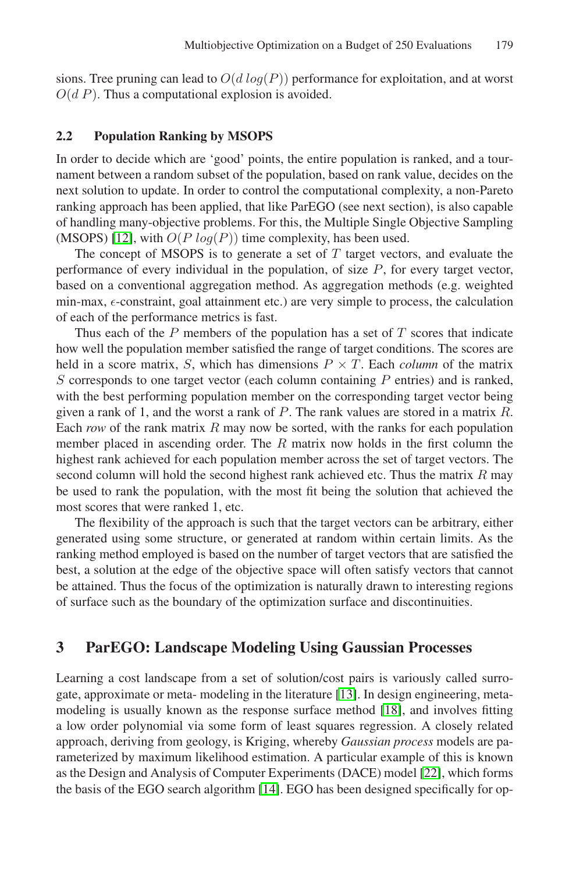sions. Tree pruning can lead to  $O(d \log(P))$  performance for exploitation, and at worst  $O(d P)$ . Thus a computational explosion is avoided.

#### **2.2 Population Ranking by MSOPS**

In order to decide which are 'good' points, the entire population is ranked, and a tournament between a random subset of the population, based on rank value, decides on the next solution to update. In order to control the computational complexity, a non-Pareto ranking approach has been applied, that like ParEGO (see next section), is also capable of handling many-objective problems. For this, the Multiple Single Objective Sampling (MSOPS) [\[12\]](#page-14-8), with  $O(P \log(P))$  time complexity, has been used.

The concept of MSOPS is to generate a set of  $T$  target vectors, and evaluate the performance of every individual in the population, of size  $P$ , for every target vector, based on a conventional aggregation method. As aggregation methods (e.g. weighted min-max,  $\epsilon$ -constraint, goal attainment etc.) are very simple to process, the calculation of each of the performance metrics is fast.

Thus each of the  $P$  members of the population has a set of  $T$  scores that indicate how well the population member satisfied the range of target conditions. The scores are held in a score matrix, S, which has dimensions  $P \times T$ . Each *column* of the matrix  $S$  corresponds to one target vector (each column containing  $P$  entries) and is ranked, with the best performing population member on the corresponding target vector being given a rank of 1, and the worst a rank of  $P$ . The rank values are stored in a matrix  $R$ . Each *row* of the rank matrix  $R$  may now be sorted, with the ranks for each population member placed in ascending order. The  $R$  matrix now holds in the first column the highest rank achieved for each population member across the set of target vectors. The second column will hold the second highest rank achieved etc. Thus the matrix  $R$  may be used to rank the population, with the most fit being the solution that achieved the most scores that were ranked 1, etc.

The flexibility of the approach is such that the target vectors can be arbitrary, either generated using some structure, or generated at random within certain limits. As the ranking method employed is based on the number of target vectors that are satisfied the best, a solution at the edge of the objective space will often satisfy vectors that cannot be attained. Thus the focus of the optimization is naturally drawn to interesting regions of surface such as the boundary of the optimization surface and discontinuities.

#### **3 ParEGO: Landscape Modeling Using Gaussian Processes**

Learning a cost landscape from a set of solution/cost pairs is variously called surrogate, approximate or meta- modeling in the literature [\[13\]](#page-14-10). In design engineering, metamodeling is usually known as the response surface method [\[18\]](#page-14-11), and involves fitting a low order polynomial via some form of least squares regression. A closely related approach, deriving from geology, is Kriging, whereby *Gaussian process* models are parameterized by maximum likelihood estimation. A particular example of this is known as the Design and Analysis of Computer Experiments (DACE) model [\[22\]](#page-14-12), which forms the basis of the EGO search algorithm [\[14\]](#page-14-13). EGO has been designed specifically for op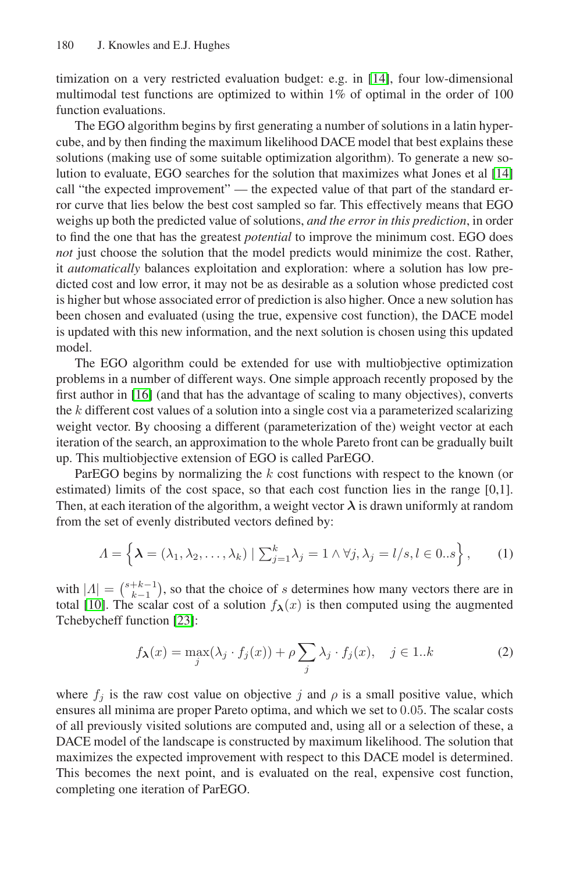timization on a very restricted evaluation budget: e.g. in [\[14\]](#page-14-13), four low-dimensional multimodal test functions are optimized to within 1% of optimal in the order of 100 function evaluations.

The EGO algorithm begins by first generating a number of solutions in a latin hypercube, and by then finding the maximum likelihood DACE model that best explains these solutions (making use of some suitable optimization algorithm). To generate a new solution to evaluate, EGO searches for the solution that maximizes what Jones et al [\[14\]](#page-14-13) call "the expected improvement" — the expected value of that part of the standard error curve that lies below the best cost sampled so far. This effectively means that EGO weighs up both the predicted value of solutions, *and the error in this prediction*, in order to find the one that has the greatest *potential* to improve the minimum cost. EGO does *not* just choose the solution that the model predicts would minimize the cost. Rather, it *automatically* balances exploitation and exploration: where a solution has low predicted cost and low error, it may not be as desirable as a solution whose predicted cost is higher but whose associated error of prediction is also higher. Once a new solution has been chosen and evaluated (using the true, expensive cost function), the DACE model is updated with this new information, and the next solution is chosen using this updated model.

The EGO algorithm could be extended for use with multiobjective optimization problems in a number of different ways. One simple approach recently proposed by the first author in [\[16\]](#page-14-9) (and that has the advantage of scaling to many objectives), converts the  $k$  different cost values of a solution into a single cost via a parameterized scalarizing weight vector. By choosing a different (parameterization of the) weight vector at each iteration of the search, an approximation to the whole Pareto front can be gradually built up. This multiobjective extension of EGO is called ParEGO.

ParEGO begins by normalizing the k cost functions with respect to the known (or estimated) limits of the cost space, so that each cost function lies in the range [0,1]. Then, at each iteration of the algorithm, a weight vector  $\lambda$  is drawn uniformly at random from the set of evenly distributed vectors defined by:

$$
\Lambda = \left\{ \boldsymbol{\lambda} = (\lambda_1, \lambda_2, \dots, \lambda_k) \mid \sum_{j=1}^k \lambda_j = 1 \land \forall j, \lambda_j = l/s, l \in 0..s \right\},\tag{1}
$$

with  $|A| = {s+k-1 \choose k-1}$ , so that the choice of s determines how many vectors there are in total [\[10\]](#page-14-14). The scalar cost of a solution  $f_{\lambda}(x)$  is then computed using the augmented Tchebycheff function [\[23\]](#page-14-15):

<span id="page-4-1"></span><span id="page-4-0"></span>
$$
f_{\lambda}(x) = \max_{j} (\lambda_j \cdot f_j(x)) + \rho \sum_{j} \lambda_j \cdot f_j(x), \quad j \in 1..k
$$
 (2)

where  $f_j$  is the raw cost value on objective j and  $\rho$  is a small positive value, which ensures all minima are proper Pareto optima, and which we set to 0.05. The scalar costs of all previously visited solutions are computed and, using all or a selection of these, a DACE model of the landscape is constructed by maximum likelihood. The solution that maximizes the expected improvement with respect to this DACE model is determined. This becomes the next point, and is evaluated on the real, expensive cost function, completing one iteration of ParEGO.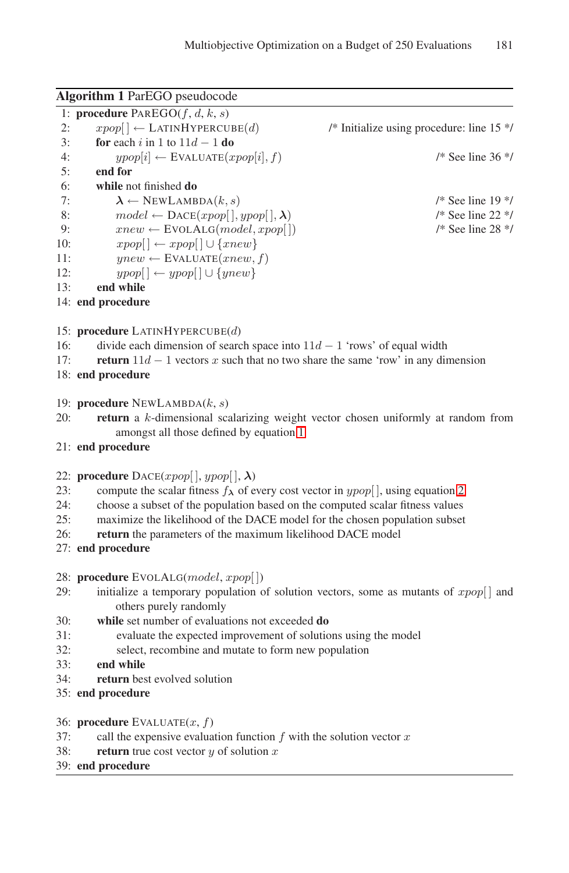<span id="page-5-0"></span>

|     | <b>Algorithm 1 ParEGO pseudocode</b>                                                        |                                             |
|-----|---------------------------------------------------------------------------------------------|---------------------------------------------|
|     | 1: <b>procedure</b> $PAREGO(f, d, k, s)$                                                    |                                             |
| 2:  | $xpop[] \leftarrow \text{LATINHYPERCUBE}(d)$                                                | /* Initialize using procedure: line $15$ */ |
| 3:  | <b>for</b> each i in 1 to $11d - 1$ <b>do</b>                                               |                                             |
| 4:  | $ypop[i] \leftarrow$ EVALUATE $(xpop[i], f)$                                                | $/*$ See line 36 $*/$                       |
| 5:  | end for                                                                                     |                                             |
| 6:  | while not finished do                                                                       |                                             |
| 7:  | $\pmb{\lambda} \leftarrow \text{NEWLAMBDA}(k, s)$                                           | $/*$ See line 19 $*/$                       |
| 8:  | $model \leftarrow \text{DACE}(xpop[, ypop[, \lambda)$                                       | $/*$ See line 22 $*/$                       |
| 9:  | $xnew \leftarrow$ EVOLALG(model, xpop[])                                                    | $/*$ See line 28 $*/$                       |
| 10: | $xpop[] \leftarrow xpop[] \cup \{xnew\}$                                                    |                                             |
| 11: | $ynew \leftarrow$ EVALUATE $(xnew, f)$                                                      |                                             |
| 12: | $ypop[] \leftarrow ypop[] \cup \{ynew\}$                                                    |                                             |
| 13: | end while                                                                                   |                                             |
|     | 14: end procedure                                                                           |                                             |
|     |                                                                                             |                                             |
|     | 15: procedure LATINHYPERCUBE $(d)$                                                          |                                             |
| 16: | divide each dimension of search space into $11d - 1$ 'rows' of equal width                  |                                             |
| 17: | <b>return</b> $11d - 1$ vectors x such that no two share the same 'row' in any dimension    |                                             |
|     | 18: end procedure                                                                           |                                             |
|     |                                                                                             |                                             |
|     | 19: <b>procedure</b> NEWLAMBDA $(k, s)$                                                     |                                             |
| 20: | <b>return</b> a k-dimensional scalarizing weight vector chosen uniformly at random from     |                                             |
|     | amongst all those defined by equation 1                                                     |                                             |
|     | 21: end procedure                                                                           |                                             |
|     |                                                                                             |                                             |
|     | 22: <b>procedure</b> $\text{DACE}(xpop[, ypop[, \lambda)$                                   |                                             |
| 23: | compute the scalar fitness $f_{\lambda}$ of every cost vector in $ypop[$ , using equation 2 |                                             |
| 24: | choose a subset of the population based on the computed scalar fitness values               |                                             |
| 25: | maximize the likelihood of the DACE model for the chosen population subset                  |                                             |
| 26: | <b>return</b> the parameters of the maximum likelihood DACE model                           |                                             |
|     | 27: end procedure                                                                           |                                             |
|     |                                                                                             |                                             |
|     | 28: <b>procedure</b> EVOLALG( <i>model</i> , <i>xpop</i> [])                                |                                             |
| 29: | initialize a temporary population of solution vectors, some as mutants of $xpop[]$ and      |                                             |
|     | others purely randomly                                                                      |                                             |
| 30: | while set number of evaluations not exceeded do                                             |                                             |
| 31: | evaluate the expected improvement of solutions using the model                              |                                             |
| 32: | select, recombine and mutate to form new population                                         |                                             |
| 33: | end while                                                                                   |                                             |
| 34: | return best evolved solution                                                                |                                             |
|     | 35: end procedure                                                                           |                                             |
|     |                                                                                             |                                             |
|     | 36: <b>procedure</b> EVALUATE $(x, f)$                                                      |                                             |
| 37: | call the expensive evaluation function $f$ with the solution vector $x$                     |                                             |
| 38: | <b>return</b> true cost vector $y$ of solution $x$                                          |                                             |
|     | 39: end procedure                                                                           |                                             |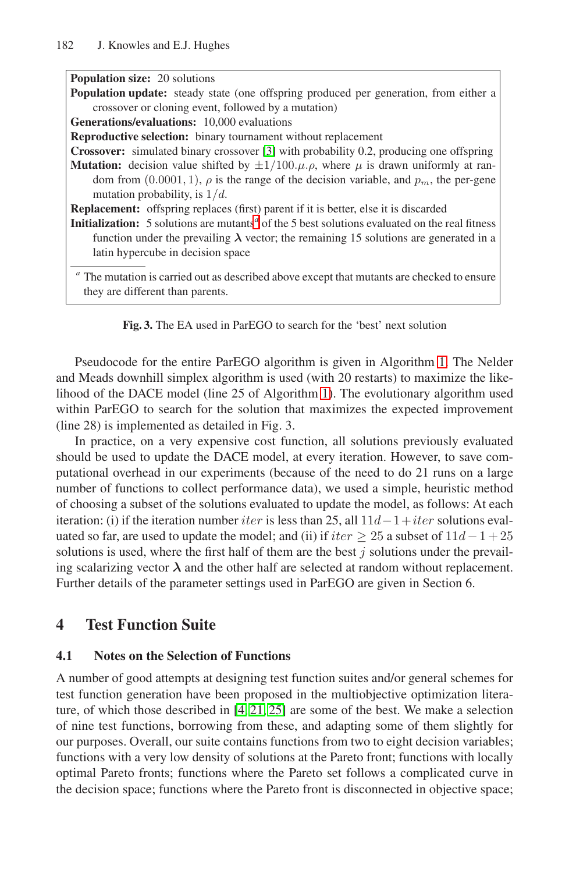| <b>Population size: 20 solutions</b>                                                                              |
|-------------------------------------------------------------------------------------------------------------------|
| <b>Population update:</b> steady state (one offspring produced per generation, from either a                      |
| crossover or cloning event, followed by a mutation)                                                               |
| <b>Generations/evaluations:</b> 10,000 evaluations                                                                |
| <b>Reproductive selection:</b> binary tournament without replacement                                              |
| <b>Crossover:</b> simulated binary crossover [3] with probability 0.2, producing one offspring                    |
| <b>Mutation:</b> decision value shifted by $\pm 1/100.\mu.\rho$ , where $\mu$ is drawn uniformly at ran-          |
| dom from $(0.0001, 1)$ , $\rho$ is the range of the decision variable, and $p_m$ , the per-gene                   |
| mutation probability, is $1/d$ .                                                                                  |
| <b>Replacement:</b> offspring replaces (first) parent if it is better, else it is discarded                       |
| <b>Initialization:</b> 5 solutions are mutants <sup>a</sup> of the 5 best solutions evaluated on the real fitness |
| function under the prevailing $\lambda$ vector; the remaining 15 solutions are generated in a                     |
| latin hypercube in decision space                                                                                 |
|                                                                                                                   |
| <sup>a</sup> The mutation is carried out as described above except that mutants are checked to ensure             |
| they are different than parents.                                                                                  |



<span id="page-6-0"></span>Pseudocode for the entire ParEGO algorithm is given in Algorithm [1.](#page-5-0) The Nelder and Meads downhill simplex algorithm is used (with 20 restarts) to maximize the likelihood of the DACE model (line 25 of Algorithm [1\)](#page-5-0). The evolutionary algorithm used within ParEGO to search for the solution that maximizes the expected improvement (line 28) is implemented as detailed in Fig. 3.

In practice, on a very expensive cost function, all solutions previously evaluated should be used to update the DACE model, at every iteration. However, to save computational overhead in our experiments (because of the need to do 21 runs on a large number of functions to collect performance data), we used a simple, heuristic method of choosing a subset of the solutions evaluated to update the model, as follows: At each iteration: (i) if the iteration number *iter* is less than 25, all  $11d-1+iter$  solutions evaluated so far, are used to update the model; and (ii) if  $iter \geq 25$  a subset of  $11d-1+25$ solutions is used, where the first half of them are the best  $j$  solutions under the prevailing scalarizing vector  $\lambda$  and the other half are selected at random without replacement. Further details of the parameter settings used in ParEGO are given in Section 6.

# **4 Test Function Suite**

#### **4.1 Notes on the Selection of Functions**

A number of good attempts at designing test function suites and/or general schemes for test function generation have been proposed in the multiobjective optimization literature, of which those described in [\[4,](#page-13-6) [21,](#page-14-16) [25\]](#page-14-17) are some of the best. We make a selection of nine test functions, borrowing from these, and adapting some of them slightly for our purposes. Overall, our suite contains functions from two to eight decision variables; functions with a very low density of solutions at the Pareto front; functions with locally optimal Pareto fronts; functions where the Pareto set follows a complicated curve in the decision space; functions where the Pareto front is disconnected in objective space;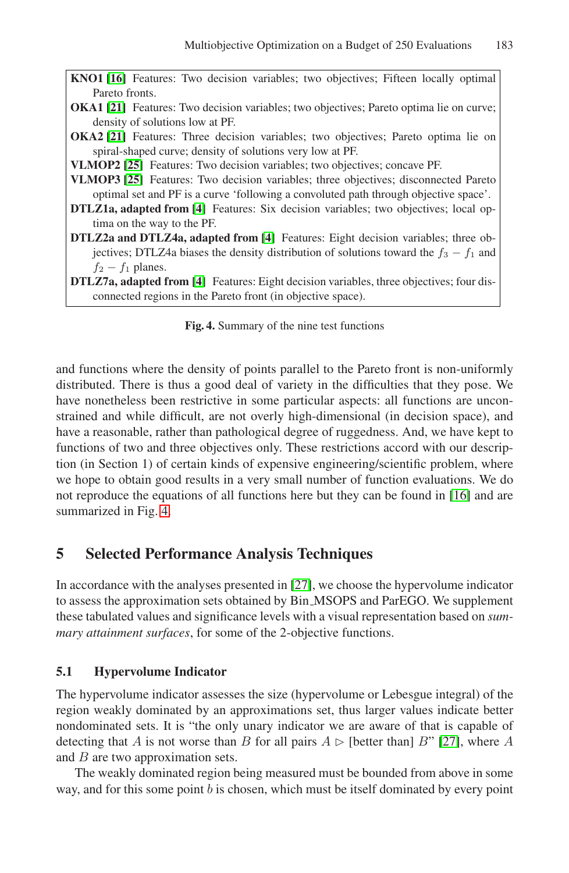<span id="page-7-0"></span>

| <b>KNO1</b> [16] Features: Two decision variables; two objectives; Fifteen locally optimal      |  |  |  |
|-------------------------------------------------------------------------------------------------|--|--|--|
| Pareto fronts.                                                                                  |  |  |  |
| <b>OKA1</b> [21] Features: Two decision variables; two objectives; Pareto optima lie on curve;  |  |  |  |
| density of solutions low at PF.                                                                 |  |  |  |
| <b>OKA2</b> [21] Features: Three decision variables; two objectives; Pareto optima lie on       |  |  |  |
| spiral-shaped curve; density of solutions very low at PF.                                       |  |  |  |
| VLMOP2 [25] Features: Two decision variables; two objectives; concave PF.                       |  |  |  |
| <b>VLMOP3</b> [25] Features: Two decision variables; three objectives; disconnected Pareto      |  |  |  |
| optimal set and PF is a curve 'following a convoluted path through objective space'.            |  |  |  |
| <b>DTLZ1a, adapted from [4]</b> Features: Six decision variables; two objectives; local op-     |  |  |  |
| tima on the way to the PF.                                                                      |  |  |  |
| <b>DTLZ2a and DTLZ4a, adapted from [4]</b> Features: Eight decision variables; three ob-        |  |  |  |
| jectives; DTLZ4a biases the density distribution of solutions toward the $f_3 - f_1$ and        |  |  |  |
| $f_2 - f_1$ planes.                                                                             |  |  |  |
| <b>DTLZ7a, adapted from [4]</b> Features: Eight decision variables, three objectives; four dis- |  |  |  |
| connected regions in the Pareto front (in objective space).                                     |  |  |  |
|                                                                                                 |  |  |  |
| <b>Fig. 4.</b> Summary of the nine test functions                                               |  |  |  |

and functions where the density of points parallel to the Pareto front is non-uniformly distributed. There is thus a good deal of variety in the difficulties that they pose. We have nonetheless been restrictive in some particular aspects: all functions are unconstrained and while difficult, are not overly high-dimensional (in decision space), and have a reasonable, rather than pathological degree of ruggedness. And, we have kept to functions of two and three objectives only. These restrictions accord with our description (in Section 1) of certain kinds of expensive engineering/scientific problem, where we hope to obtain good results in a very small number of function evaluations. We do not reproduce the equations of all functions here but they can be found in [\[16\]](#page-14-9) and are summarized in Fig. [4.](#page-7-0)

### **5 Selected Performance Analysis Techniques**

In accordance with the analyses presented in [\[27\]](#page-14-18), we choose the hypervolume indicator to assess the approximation sets obtained by Bin MSOPS and ParEGO. We supplement these tabulated values and significance levels with a visual representation based on *summary attainment surfaces*, for some of the 2-objective functions.

#### **5.1 Hypervolume Indicator**

The hypervolume indicator assesses the size (hypervolume or Lebesgue integral) of the region weakly dominated by an approximations set, thus larger values indicate better nondominated sets. It is "the only unary indicator we are aware of that is capable of detecting that A is not worse than B for all pairs  $A \triangleright$  [better than] B" [\[27\]](#page-14-18), where A and  $B$  are two approximation sets.

The weakly dominated region being measured must be bounded from above in some way, and for this some point  $b$  is chosen, which must be itself dominated by every point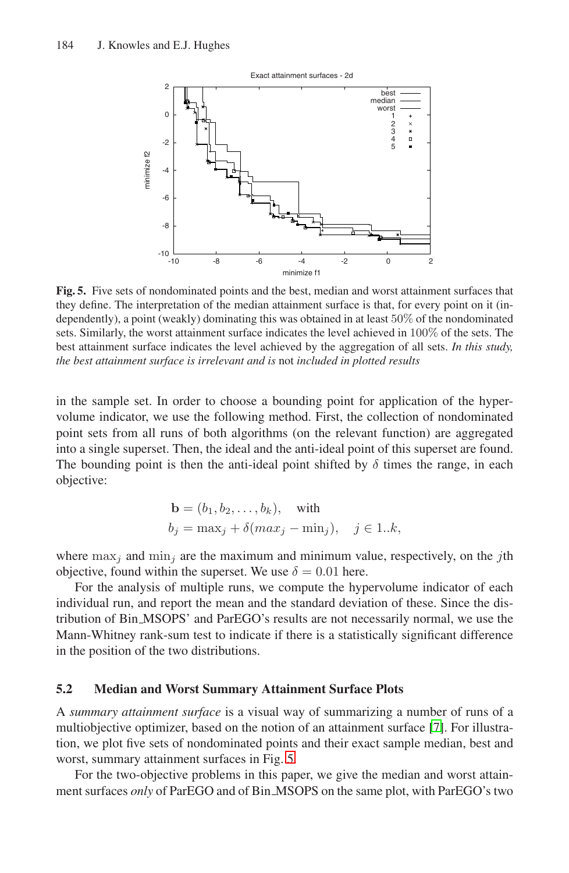<span id="page-8-0"></span>

**Fig. 5.** Five sets of nondominated points and the best, median and worst attainment surfaces that they define. The interpretation of the median attainment surface is that, for every point on it (independently), a point (weakly) dominating this was obtained in at least 50% of the nondominated sets. Similarly, the worst attainment surface indicates the level achieved in 100% of the sets. The best attainment surface indicates the level achieved by the aggregation of all sets. *In this study, the best attainment surface is irrelevant and is* not *included in plotted results*

in the sample set. In order to choose a bounding point for application of the hypervolume indicator, we use the following method. First, the collection of nondominated point sets from all runs of both algorithms (on the relevant function) are aggregated into a single superset. Then, the ideal and the anti-ideal point of this superset are found. The bounding point is then the anti-ideal point shifted by  $\delta$  times the range, in each objective:

$$
\mathbf{b} = (b_1, b_2, \dots, b_k), \quad \text{with}
$$
\n
$$
b_j = \max_j + \delta(\max_j - \min_j), \quad j \in 1..k,
$$

where  $\max_i$  and  $\min_i$  are the maximum and minimum value, respectively, on the *j*th objective, found within the superset. We use  $\delta = 0.01$  here.

For the analysis of multiple runs, we compute the hypervolume indicator of each individual run, and report the mean and the standard deviation of these. Since the distribution of Bin MSOPS' and ParEGO's results are not necessarily normal, we use the Mann-Whitney rank-sum test to indicate if there is a statistically significant difference in the position of the two distributions.

#### **5.2 Median and Worst Summary Attainment Surface Plots**

A *summary attainment surface* is a visual way of summarizing a number of runs of a multiobjective optimizer, based on the notion of an attainment surface [\[7\]](#page-13-7). For illustration, we plot five sets of nondominated points and their exact sample median, best and worst, summary attainment surfaces in Fig. [5.](#page-8-0)

For the two-objective problems in this paper, we give the median and worst attainment surfaces *only* of ParEGO and of Bin MSOPS on the same plot, with ParEGO's two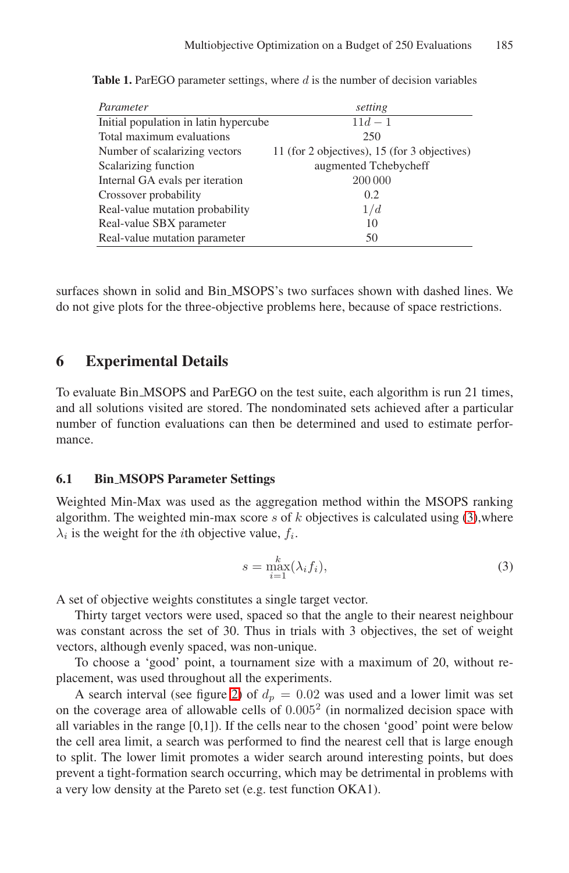| Parameter                             | setting                                      |
|---------------------------------------|----------------------------------------------|
| Initial population in latin hypercube | $11d - 1$                                    |
| Total maximum evaluations             | 250                                          |
| Number of scalarizing vectors         | 11 (for 2 objectives), 15 (for 3 objectives) |
| Scalarizing function                  | augmented Tchebycheff                        |
| Internal GA evals per iteration       | 200 000                                      |
| Crossover probability                 | 0.2                                          |
| Real-value mutation probability       | 1/d                                          |
| Real-value SBX parameter              | 10                                           |
| Real-value mutation parameter         | 50                                           |

<span id="page-9-1"></span>**Table 1.** ParEGO parameter settings, where d is the number of decision variables

surfaces shown in solid and Bin MSOPS's two surfaces shown with dashed lines. We do not give plots for the three-objective problems here, because of space restrictions.

### **6 Experimental Details**

To evaluate Bin MSOPS and ParEGO on the test suite, each algorithm is run 21 times, and all solutions visited are stored. The nondominated sets achieved after a particular number of function evaluations can then be determined and used to estimate performance.

#### **6.1 Bin MSOPS Parameter Settings**

Weighted Min-Max was used as the aggregation method within the MSOPS ranking algorithm. The weighted min-max score s of  $k$  objectives is calculated using  $(3)$ , where  $\lambda_i$  is the weight for the *i*th objective value,  $f_i$ .

<span id="page-9-0"></span>
$$
s = \max_{i=1}^{k} (\lambda_i f_i), \tag{3}
$$

A set of objective weights constitutes a single target vector.

Thirty target vectors were used, spaced so that the angle to their nearest neighbour was constant across the set of 30. Thus in trials with 3 objectives, the set of weight vectors, although evenly spaced, was non-unique.

To choose a 'good' point, a tournament size with a maximum of 20, without replacement, was used throughout all the experiments.

A search interval (see figure [2\)](#page-2-0) of  $d_p = 0.02$  was used and a lower limit was set on the coverage area of allowable cells of  $0.005<sup>2</sup>$  (in normalized decision space with all variables in the range  $[0,1]$ ). If the cells near to the chosen 'good' point were below the cell area limit, a search was performed to find the nearest cell that is large enough to split. The lower limit promotes a wider search around interesting points, but does prevent a tight-formation search occurring, which may be detrimental in problems with a very low density at the Pareto set (e.g. test function OKA1).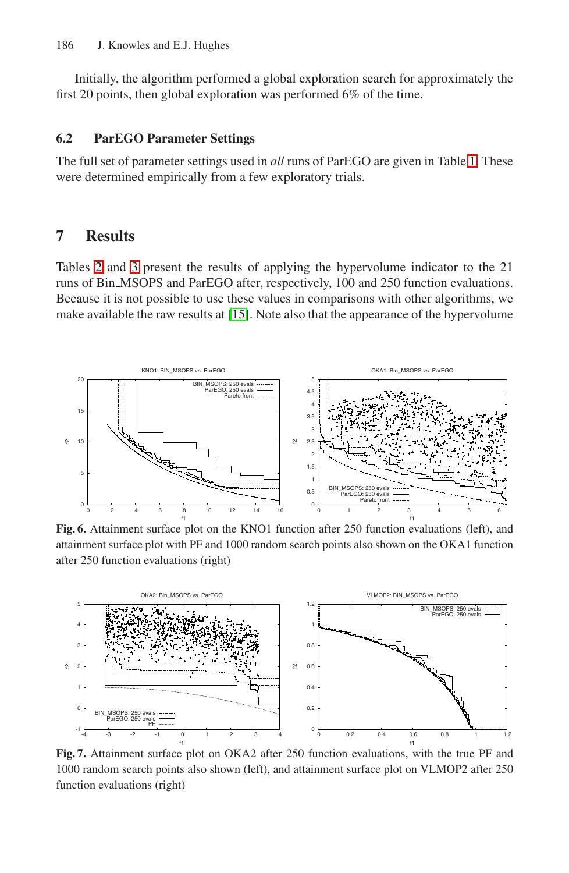Initially, the algorithm performed a global exploration search for approximately the first 20 points, then global exploration was performed 6% of the time.

#### **6.2 ParEGO Parameter Settings**

The full set of parameter settings used in *all* runs of ParEGO are given in Table [1.](#page-9-1) These were determined empirically from a few exploratory trials.

### **7 Results**

Tables [2](#page-11-0) and [3](#page-11-1) present the results of applying the hypervolume indicator to the 21 runs of Bin MSOPS and ParEGO after, respectively, 100 and 250 function evaluations. Because it is not possible to use these values in comparisons with other algorithms, we make available the raw results at [\[15\]](#page-14-19). Note also that the appearance of the hypervolume



**Fig. 6.** Attainment surface plot on the KNO1 function after 250 function evaluations (left), and attainment surface plot with PF and 1000 random search points also shown on the OKA1 function after 250 function evaluations (right)



**Fig. 7.** Attainment surface plot on OKA2 after 250 function evaluations, with the true PF and 1000 random search points also shown (left), and attainment surface plot on VLMOP2 after 250 function evaluations (right)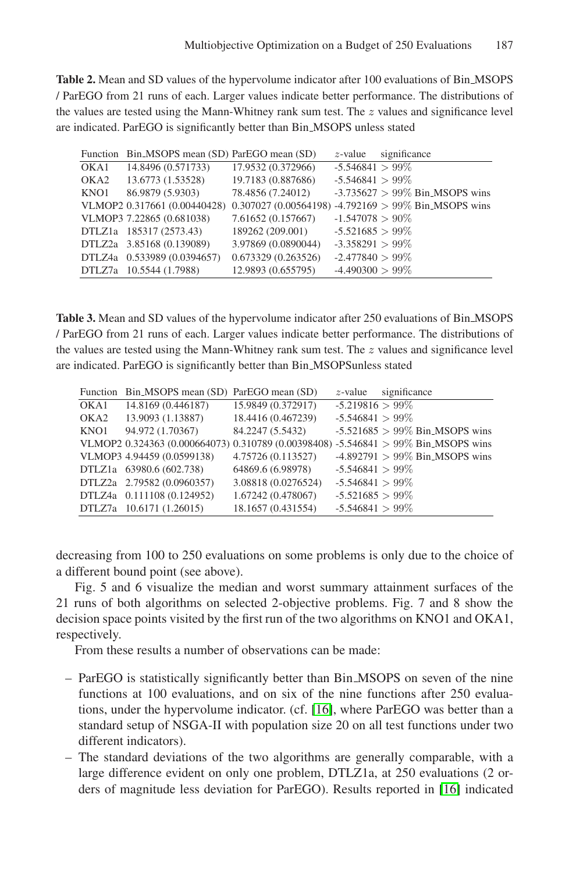<span id="page-11-0"></span>**Table 2.** Mean and SD values of the hypervolume indicator after 100 evaluations of Bin MSOPS / ParEGO from 21 runs of each. Larger values indicate better performance. The distributions of the values are tested using the Mann-Whitney rank sum test. The  $z$  values and significance level are indicated. ParEGO is significantly better than Bin MSOPS unless stated

|      | Function Bin_MSOPS mean (SD) ParEGO mean (SD) |                     | $z$ -value         | significance                                                                      |
|------|-----------------------------------------------|---------------------|--------------------|-----------------------------------------------------------------------------------|
|      | OKA1 14.8496 (0.571733)                       | 17.9532 (0.372966)  | $-5.546841 > 99\%$ |                                                                                   |
|      | OKA2 13.6773 (1.53528)                        | 19.7183 (0.887686)  | $-5.546841 > 99\%$ |                                                                                   |
| KNO1 | 86.9879 (5.9303)                              | 78.4856 (7.24012)   |                    | $-3.735627 > 99\%$ Bin_MSOPS wins                                                 |
|      |                                               |                     |                    | VLMOP2 0.317661 (0.00440428) 0.307027 (0.00564198) -4.792169 > 99% Bin MSOPS wins |
|      | VLMOP3 7.22865 (0.681038)                     | 7.61652 (0.157667)  | $-1.547078 > 90\%$ |                                                                                   |
|      | DTLZ1a 185317 (2573.43)                       | 189262 (209.001)    | $-5.521685 > 99\%$ |                                                                                   |
|      | DTLZ2a 3.85168 (0.139089)                     | 3.97869 (0.0890044) | $-3.358291 > 99\%$ |                                                                                   |
|      | DTLZ4a 0.533989 (0.0394657)                   | 0.673329(0.263526)  | $-2.477840 > 99\%$ |                                                                                   |
|      | DTLZ7a 10.5544 (1.7988)                       | 12.9893 (0.655795)  | $-4.490300 > 99\%$ |                                                                                   |

<span id="page-11-1"></span>Table 3. Mean and SD values of the hypervolume indicator after 250 evaluations of Bin\_MSOPS / ParEGO from 21 runs of each. Larger values indicate better performance. The distributions of the values are tested using the Mann-Whitney rank sum test. The  $z$  values and significance level are indicated. ParEGO is significantly better than Bin MSOPSunless stated

|      | Function Bin_MSOPS mean (SD) ParEGO mean (SD) |                     | $z$ -value         | significance                                                                       |
|------|-----------------------------------------------|---------------------|--------------------|------------------------------------------------------------------------------------|
| OKA1 | 14.8169 (0.446187)                            | 15.9849 (0.372917)  | $-5.219816 > 99\%$ |                                                                                    |
| OKA2 | 13.9093 (1.13887)                             | 18.4416 (0.467239)  | $-5.546841 > 99\%$ |                                                                                    |
| KNO1 | 94.972 (1.70367)                              | 84.2247 (5.5432)    |                    | $-5.521685 > 99\%$ Bin MSOPS wins                                                  |
|      |                                               |                     |                    | VLMOP2 0.324363 (0.000664073) 0.310789 (0.00398408) -5.546841 > 99% Bin MSOPS wins |
|      | VLMOP3 4.94459 (0.0599138)                    | 4.75726 (0.113527)  |                    | $-4.892791 > 99\%$ Bin MSOPS wins                                                  |
|      | DTLZ1a 63980.6 (602.738)                      | 64869.6 (6.98978)   | $-5.546841 > 99\%$ |                                                                                    |
|      | DTLZ2a 2.79582 (0.0960357)                    | 3.08818 (0.0276524) | $-5.546841 > 99\%$ |                                                                                    |
|      | DTLZ4a 0.111108 (0.124952)                    | 1.67242 (0.478067)  | $-5.521685 > 99\%$ |                                                                                    |
|      | DTLZ7a 10.6171 (1.26015)                      | 18.1657 (0.431554)  | $-5.546841 > 99\%$ |                                                                                    |

decreasing from 100 to 250 evaluations on some problems is only due to the choice of a different bound point (see above).

Fig. 5 and 6 visualize the median and worst summary attainment surfaces of the 21 runs of both algorithms on selected 2-objective problems. Fig. 7 and 8 show the decision space points visited by the first run of the two algorithms on KNO1 and OKA1, respectively.

From these results a number of observations can be made:

- ParEGO is statistically significantly better than Bin MSOPS on seven of the nine functions at 100 evaluations, and on six of the nine functions after 250 evaluations, under the hypervolume indicator. (cf. [\[16\]](#page-14-9), where ParEGO was better than a standard setup of NSGA-II with population size 20 on all test functions under two different indicators).
- The standard deviations of the two algorithms are generally comparable, with a large difference evident on only one problem, DTLZ1a, at 250 evaluations (2 orders of magnitude less deviation for ParEGO). Results reported in [\[16\]](#page-14-9) indicated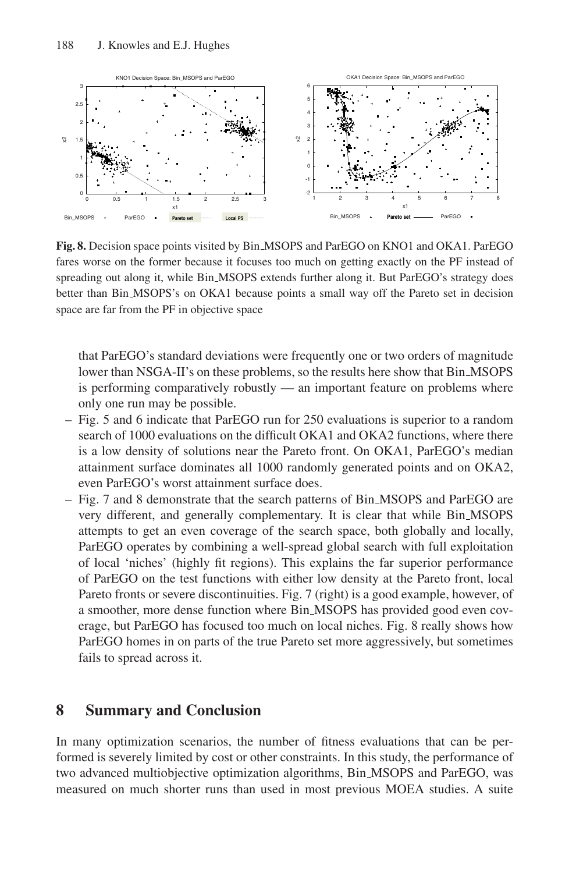

**Fig. 8.** Decision space points visited by Bin MSOPS and ParEGO on KNO1 and OKA1. ParEGO fares worse on the former because it focuses too much on getting exactly on the PF instead of spreading out along it, while Bin MSOPS extends further along it. But ParEGO's strategy does better than Bin MSOPS's on OKA1 because points a small way off the Pareto set in decision space are far from the PF in objective space

that ParEGO's standard deviations were frequently one or two orders of magnitude lower than NSGA-II's on these problems, so the results here show that Bin MSOPS is performing comparatively robustly — an important feature on problems where only one run may be possible.

- Fig. 5 and 6 indicate that ParEGO run for 250 evaluations is superior to a random search of 1000 evaluations on the difficult OKA1 and OKA2 functions, where there is a low density of solutions near the Pareto front. On OKA1, ParEGO's median attainment surface dominates all 1000 randomly generated points and on OKA2, even ParEGO's worst attainment surface does.
- Fig. 7 and 8 demonstrate that the search patterns of Bin MSOPS and ParEGO are very different, and generally complementary. It is clear that while Bin MSOPS attempts to get an even coverage of the search space, both globally and locally, ParEGO operates by combining a well-spread global search with full exploitation of local 'niches' (highly fit regions). This explains the far superior performance of ParEGO on the test functions with either low density at the Pareto front, local Pareto fronts or severe discontinuities. Fig. 7 (right) is a good example, however, of a smoother, more dense function where Bin MSOPS has provided good even coverage, but ParEGO has focused too much on local niches. Fig. 8 really shows how ParEGO homes in on parts of the true Pareto set more aggressively, but sometimes fails to spread across it.

# **8 Summary and Conclusion**

In many optimization scenarios, the number of fitness evaluations that can be performed is severely limited by cost or other constraints. In this study, the performance of two advanced multiobjective optimization algorithms, Bin MSOPS and ParEGO, was measured on much shorter runs than used in most previous MOEA studies. A suite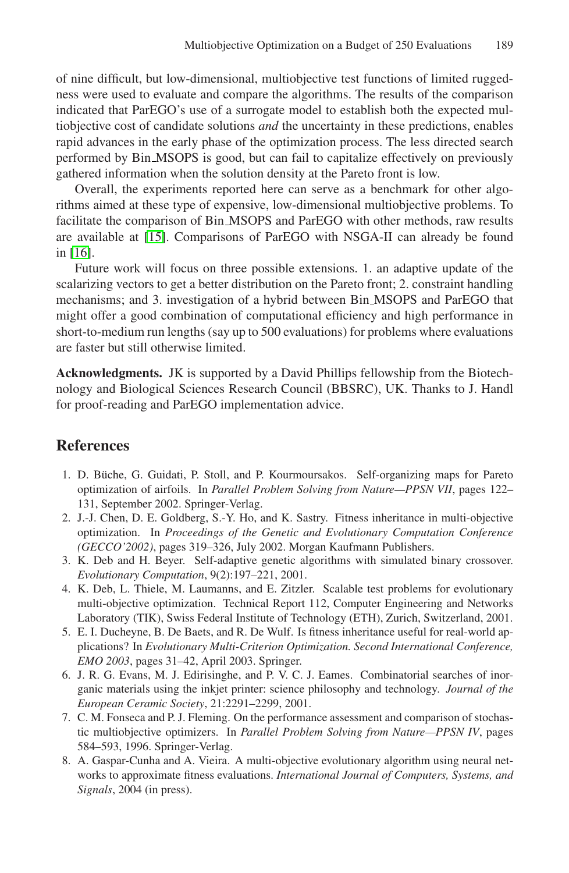of nine difficult, but low-dimensional, multiobjective test functions of limited ruggedness were used to evaluate and compare the algorithms. The results of the comparison indicated that ParEGO's use of a surrogate model to establish both the expected multiobjective cost of candidate solutions *and* the uncertainty in these predictions, enables rapid advances in the early phase of the optimization process. The less directed search performed by Bin MSOPS is good, but can fail to capitalize effectively on previously gathered information when the solution density at the Pareto front is low.

Overall, the experiments reported here can serve as a benchmark for other algorithms aimed at these type of expensive, low-dimensional multiobjective problems. To facilitate the comparison of Bin MSOPS and ParEGO with other methods, raw results are available at [\[15\]](#page-14-19). Comparisons of ParEGO with NSGA-II can already be found in [\[16\]](#page-14-9).

Future work will focus on three possible extensions. 1. an adaptive update of the scalarizing vectors to get a better distribution on the Pareto front; 2. constraint handling mechanisms; and 3. investigation of a hybrid between Bin MSOPS and ParEGO that might offer a good combination of computational efficiency and high performance in short-to-medium run lengths (say up to 500 evaluations) for problems where evaluations are faster but still otherwise limited.

**Acknowledgments.** JK is supported by a David Phillips fellowship from the Biotechnology and Biological Sciences Research Council (BBSRC), UK. Thanks to J. Handl for proof-reading and ParEGO implementation advice.

### <span id="page-13-2"></span>**References**

- 1. D. Büche, G. Guidati, P. Stoll, and P. Kourmoursakos. Self-organizing maps for Pareto optimization of airfoils. In *Parallel Problem Solving from Nature—PPSN VII*, pages 122– 131, September 2002. Springer-Verlag.
- <span id="page-13-3"></span>2. J.-J. Chen, D. E. Goldberg, S.-Y. Ho, and K. Sastry. Fitness inheritance in multi-objective optimization. In *Proceedings of the Genetic and Evolutionary Computation Conference (GECCO'2002)*, pages 319–326, July 2002. Morgan Kaufmann Publishers.
- <span id="page-13-5"></span>3. K. Deb and H. Beyer. Self-adaptive genetic algorithms with simulated binary crossover. *Evolutionary Computation*, 9(2):197–221, 2001.
- <span id="page-13-6"></span>4. K. Deb, L. Thiele, M. Laumanns, and E. Zitzler. Scalable test problems for evolutionary multi-objective optimization. Technical Report 112, Computer Engineering and Networks Laboratory (TIK), Swiss Federal Institute of Technology (ETH), Zurich, Switzerland, 2001.
- <span id="page-13-4"></span>5. E. I. Ducheyne, B. De Baets, and R. De Wulf. Is fitness inheritance useful for real-world applications? In *Evolutionary Multi-Criterion Optimization. Second International Conference, EMO 2003*, pages 31–42, April 2003. Springer.
- <span id="page-13-0"></span>6. J. R. G. Evans, M. J. Edirisinghe, and P. V. C. J. Eames. Combinatorial searches of inorganic materials using the inkjet printer: science philosophy and technology. *Journal of the European Ceramic Society*, 21:2291–2299, 2001.
- <span id="page-13-7"></span>7. C. M. Fonseca and P. J. Fleming. On the performance assessment and comparison of stochastic multiobjective optimizers. In *Parallel Problem Solving from Nature—PPSN IV*, pages 584–593, 1996. Springer-Verlag.
- <span id="page-13-1"></span>8. A. Gaspar-Cunha and A. Vieira. A multi-objective evolutionary algorithm using neural networks to approximate fitness evaluations. *International Journal of Computers, Systems, and Signals*, 2004 (in press).